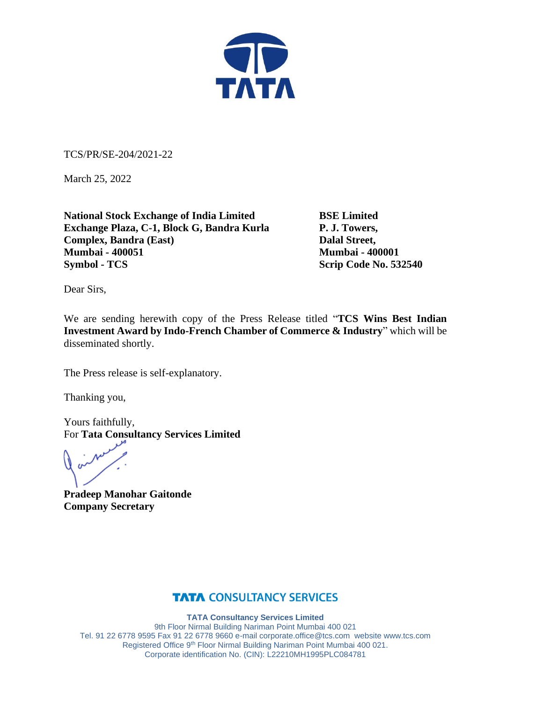

TCS/PR/SE-204/2021-22

March 25, 2022

**National Stock Exchange of India Limited BSE Limited Exchange Plaza, C-1, Block G, Bandra Kurla P. J. Towers, Complex, Bandra (East)** Dalal Street, **Mumbai - 400051 Mumbai - 400001 Symbol - TCS** Scrip Code No. 532540

Dear Sirs,

We are sending herewith copy of the Press Release titled "**TCS Wins Best Indian Investment Award by Indo-French Chamber of Commerce & Industry**" which will be disseminated shortly.

The Press release is self-explanatory.

Thanking you,

Yours faithfully, For **Tata Consultancy Services Limited**

**Pradeep Manohar Gaitonde Company Secretary**

### **TATA CONSULTANCY SERVICES**

**TATA Consultancy Services Limited** 9th Floor Nirmal Building Nariman Point Mumbai 400 021 Tel. 91 22 6778 9595 Fax 91 22 6778 9660 e-mai[l corporate.office@tcs.com](mailto:corporate.office@tcs.com) website www.tcs.com Registered Office 9th Floor Nirmal Building Nariman Point Mumbai 400 021. Corporate identification No. (CIN): L22210MH1995PLC084781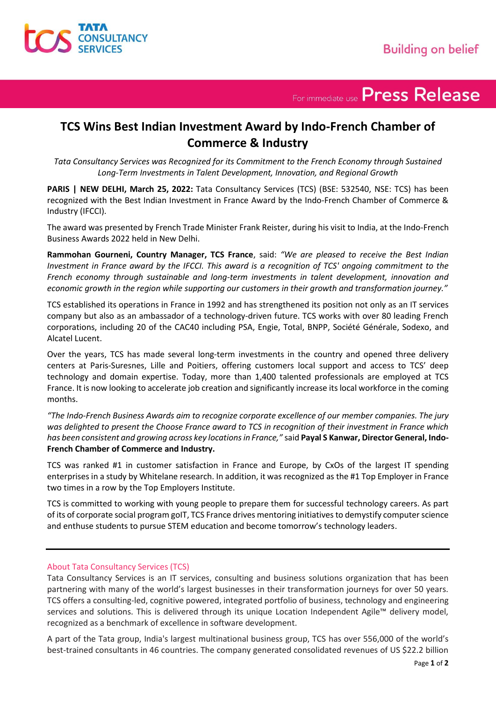

For immediate use Press Release

## **TCS Wins Best Indian Investment Award by Indo-French Chamber of Commerce & Industry**

*Tata Consultancy Services was Recognized for its Commitment to the French Economy through Sustained Long-Term Investments in Talent Development, Innovation, and Regional Growth*

**PARIS | NEW DELHI, March 25, 2022:** Tata Consultancy Services (TCS) (BSE: 532540, NSE: TCS) has been recognized with the Best Indian Investment in France Award by the Indo-French Chamber of Commerce & Industry (IFCCI).

The award was presented by French Trade Minister Frank Reister, during his visit to India, at the Indo-French Business Awards 2022 held in New Delhi.

**Rammohan Gourneni, Country Manager, TCS France**, said: *"We are pleased to receive the Best Indian Investment in France award by the IFCCI. This award is a recognition of TCS' ongoing commitment to the French economy through sustainable and long-term investments in talent development, innovation and economic growth in the region while supporting our customers in their growth and transformation journey."*

TCS established its operations in France in 1992 and has strengthened its position not only as an IT services company but also as an ambassador of a technology-driven future. TCS works with over 80 leading French corporations, including 20 of the CAC40 including PSA, Engie, Total, BNPP, Société Générale, Sodexo, and Alcatel Lucent.

Over the years, TCS has made several long-term investments in the country and opened three delivery centers at Paris-Suresnes, Lille and Poitiers, offering customers local support and access to TCS' deep technology and domain expertise. Today, more than 1,400 talented professionals are employed at TCS France. It is now looking to accelerate job creation and significantly increase its local workforce in the coming months.

*"The Indo-French Business Awards aim to recognize corporate excellence of our member companies. The jury was delighted to present the Choose France award to TCS in recognition of their investment in France which has been consistent and growing across key locations in France,"* said **Payal S Kanwar, Director General, Indo-French Chamber of Commerce and Industry.**

TCS was ranked #1 in customer satisfaction in France and Europe, by CxOs of the largest IT spending enterprises in a study by Whitelane research. In addition, it was recognized as the #1 Top Employer in France two times in a row by the Top Employers Institute.

TCS is committed to working with young people to prepare them for successful technology careers. As part of its of corporate social program goIT, TCS France drives mentoring initiatives to demystify computer science and enthuse students to pursue STEM education and become tomorrow's technology leaders.

#### About Tata Consultancy Services (TCS)

Tata Consultancy Services is an IT services, consulting and business solutions organization that has been partnering with many of the world's largest businesses in their transformation journeys for over 50 years. TCS offers a consulting-led, cognitive powered, integrated portfolio of business, technology and engineering services and solutions. This is delivered through its unique Location Independent Agile™ delivery model, recognized as a benchmark of excellence in software development.

A part of the Tata group, India's largest multinational business group, TCS has over 556,000 of the world's best-trained consultants in 46 countries. The company generated consolidated revenues of US \$22.2 billion